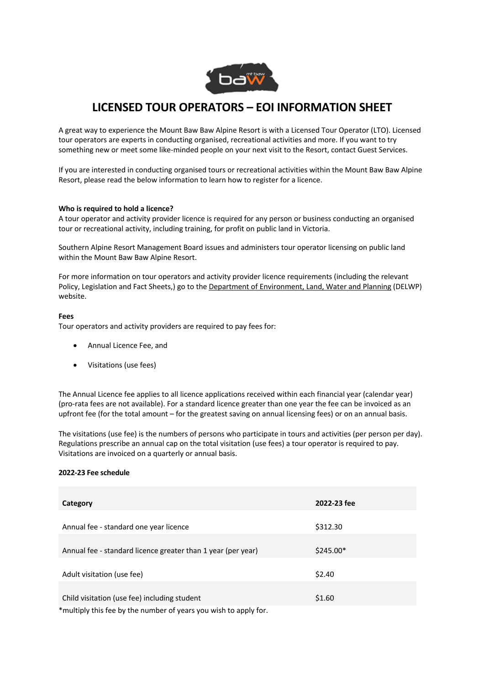

# **LICENSED TOUR OPERATORS – EOI INFORMATION SHEET**

A great way to experience the Mount Baw Baw Alpine Resort is with a Licensed Tour Operator (LTO). Licensed tour operators are experts in conducting organised, recreational activities and more. If you want to try something new or meet some like-minded people on your next visit to the Resort, contact Guest Services.

If you are interested in conducting organised tours or recreational activities within the Mount Baw Baw Alpine Resort, please read the below information to learn how to register for a licence.

### **Who is required to hold a licence?**

A tour operator and activity provider licence is required for any person or business conducting an organised tour or recreational activity, including training, for profit on public land in Victoria.

Southern Alpine Resort Management Board issues and administers tour operator licensing on public land within the Mount Baw Baw Alpine Resort.

For more information on tour operators and activity provider licence requirements (including the relevant Policy, Legislation and Fact Sheets,) go to the Department of Environment, Land, Water and Planning (DELWP) website.

### **Fees**

Tour operators and activity providers are required to pay fees for:

- Annual Licence Fee, and
- Visitations (use fees)

The Annual Licence fee applies to all licence applications received within each financial year (calendar year) (pro-rata fees are not available). For a standard licence greater than one year the fee can be invoiced as an upfront fee (for the total amount – for the greatest saving on annual licensing fees) or on an annual basis.

The visitations (use fee) is the numbers of persons who participate in tours and activities (per person per day). Regulations prescribe an annual cap on the total visitation (use fees) a tour operator is required to pay. Visitations are invoiced on a quarterly or annual basis.

# **2022-23 Fee schedule**

| Category                                                           | 2022-23 fee |
|--------------------------------------------------------------------|-------------|
|                                                                    |             |
| Annual fee - standard one year licence                             | \$312.30    |
|                                                                    |             |
| Annual fee - standard licence greater than 1 year (per year)       | $$245.00*$  |
|                                                                    |             |
| Adult visitation (use fee)                                         | \$2.40      |
|                                                                    |             |
| Child visitation (use fee) including student                       | \$1.60      |
| $*$ multinly this fee by the number of years you wish to annly for |             |

multiply this fee by the number of years you wish to apply for.